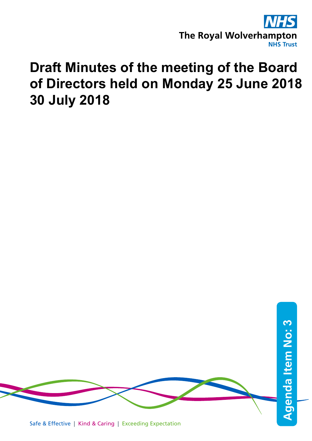

# **Draft Minutes of the meeting of the Board of Directors held on Monday 25 June 2018 30 July 2018**

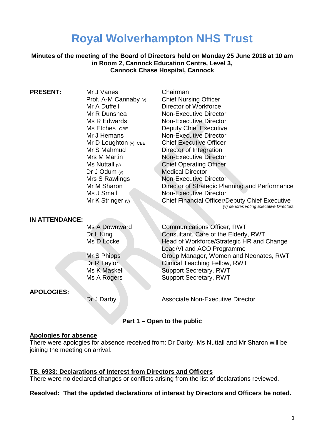# **Royal Wolverhampton NHS Trust**

**Minutes of the meeting of the Board of Directors held on Monday 25 June 2018 at 10 am in Room 2, Cannock Education Centre, Level 3, Cannock Chase Hospital, Cannock** 

| <b>PRESENT:</b> | Mr J Vanes              | Chairman                                                                                         |
|-----------------|-------------------------|--------------------------------------------------------------------------------------------------|
|                 | Prof. A-M Cannaby $(v)$ | <b>Chief Nursing Officer</b>                                                                     |
|                 | Mr A Duffell            | Director of Workforce                                                                            |
|                 |                         |                                                                                                  |
|                 | Mr R Dunshea            | <b>Non-Executive Director</b>                                                                    |
|                 | Ms R Edwards            | <b>Non-Executive Director</b>                                                                    |
|                 | Ms Etches OBE           | <b>Deputy Chief Executive</b>                                                                    |
|                 | Mr J Hemans             | <b>Non-Executive Director</b>                                                                    |
|                 | Mr D Loughton $(v)$ CBE | <b>Chief Executive Officer</b>                                                                   |
|                 | Mr S Mahmud             | Director of Integration                                                                          |
|                 | Mrs M Martin            | <b>Non-Executive Director</b>                                                                    |
|                 | Ms Nuttall $(v)$        | <b>Chief Operating Officer</b>                                                                   |
|                 | Dr J Odum $(v)$         | <b>Medical Director</b>                                                                          |
|                 | Mrs S Rawlings          | Non-Executive Director                                                                           |
|                 | Mr M Sharon             | Director of Strategic Planning and Performance                                                   |
|                 | Ms J Small              | <b>Non-Executive Director</b>                                                                    |
|                 | Mr K Stringer (v)       | <b>Chief Financial Officer/Deputy Chief Executive</b><br>(v) denotes voting Executive Directors. |
|                 |                         |                                                                                                  |

#### **IN ATTENDANCE:**

#### **APOLOGIES:**

Ms A Downward Communications Officer, RWT Dr L King Consultant, Care of the Elderly, RWT Ms D Locke Head of Workforce/Strategic HR and Change Lead/VI and ACO Programme Mr S Phipps Group Manager, Women and Neonates, RWT Dr R Taylor Clinical Teaching Fellow, RWT<br>Ms K Maskell Support Secretary. RWT Support Secretary, RWT Ms A Rogers Support Secretary, RWT

Dr J Darby **Associate Non-Executive Director** 

#### **Part 1 – Open to the public**

#### **Apologies for absence**

There were apologies for absence received from: Dr Darby, Ms Nuttall and Mr Sharon will be joining the meeting on arrival.

#### **TB. 6933: Declarations of Interest from Directors and Officers**

There were no declared changes or conflicts arising from the list of declarations reviewed.

#### **Resolved: That the updated declarations of interest by Directors and Officers be noted.**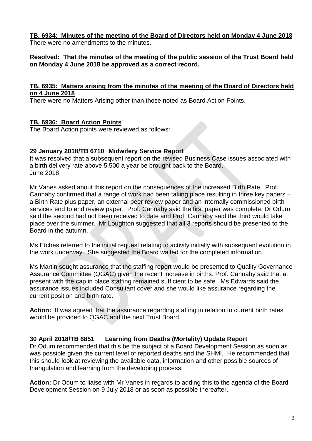# **TB. 6934: Minutes of the meeting of the Board of Directors held on Monday 4 June 2018**

There were no amendments to the minutes.

# **Resolved: That the minutes of the meeting of the public session of the Trust Board held on Monday 4 June 2018 be approved as a correct record.**

#### **TB. 6935: Matters arising from the minutes of the meeting of the Board of Directors held on 4 June 2018**

There were no Matters Arising other than those noted as Board Action Points.

# **TB. 6936: Board Action Points**

The Board Action points were reviewed as follows:

# **29 January 2018/TB 6710 Midwifery Service Report**

It was resolved that a subsequent report on the revised Business Case issues associated with a birth delivery rate above 5,500 a year be brought back to the Board. June 2018

Mr Vanes asked about this report on the consequences of the increased Birth Rate. Prof. Cannaby confirmed that a range of work had been taking place resulting in three key papers – a Birth Rate plus paper, an external peer review paper and an internally commissioned birth services end to end review paper. Prof. Cannaby said the first paper was complete, Dr Odum said the second had not been received to date and Prof. Cannaby said the third would take place over the summer. Mr Loughton suggested that all 3 reports should be presented to the Board in the autumn.

Ms Etches referred to the initial request relating to activity initially with subsequent evolution in the work underway. She suggested the Board waited for the completed information.

Ms Martin sought assurance that the staffing report would be presented to Quality Governance Assurance Committee (QGAC) given the recent increase in births. Prof. Cannaby said that at present with the cap in place staffing remained sufficient to be safe. Ms Edwards said the assurance issues included Consultant cover and she would like assurance regarding the current position and birth rate.

**Action:** It was agreed that the assurance regarding staffing in relation to current birth rates would be provided to QGAC and the next Trust Board.

# **30 April 2018/TB 6851 Learning from Deaths (Mortality) Update Report**

Dr Odum recommended that this be the subject of a Board Development Session as soon as was possible given the current level of reported deaths and the SHMI. He recommended that this should look at reviewing the available data, information and other possible sources of triangulation and learning from the developing process.

**Action:** Dr Odum to liaise with Mr Vanes in regards to adding this to the agenda of the Board Development Session on 9 July 2018 or as soon as possible thereafter.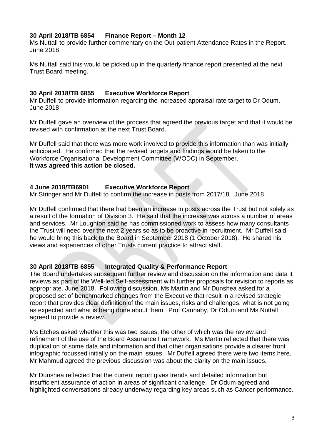### **30 April 2018/TB 6854 Finance Report – Month 12**

Ms Nuttall to provide further commentary on the Out-patient Attendance Rates in the Report. June 2018

Ms Nuttall said this would be picked up in the quarterly finance report presented at the next Trust Board meeting.

#### **30 April 2018/TB 6855 Executive Workforce Report**

Mr Duffell to provide information regarding the increased appraisal rate target to Dr Odum. June 2018

Mr Duffell gave an overview of the process that agreed the previous target and that it would be revised with confirmation at the next Trust Board.

Mr Duffell said that there was more work involved to provide this information than was initially anticipated. He confirmed that the revised targets and findings would be taken to the Workforce Organisational Development Committee (WODC) in September. **It was agreed this action be closed.**

# **4 June 2018/TB6901 Executive Workforce Report**

Mr Stringer and Mr Duffell to confirm the increase in posts from 2017/18. June 2018

Mr Duffell confirmed that there had been an increase in posts across the Trust but not solely as a result of the formation of Division 3. He said that the increase was across a number of areas and services. Mr Loughton said he has commissioned work to assess how many consultants the Trust will need over the next 2 years so as to be proactive in recruitment. Mr Duffell said he would bring this back to the Board in September 2018 (1 October 2018). He shared his views and experiences of other Trusts current practice to attract staff.

#### **30 April 2018/TB 6855 Integrated Quality & Performance Report**

The Board undertakes subsequent further review and discussion on the information and data it reviews as part of the Well-led Self-assessment with further proposals for revision to reports as appropriate. June 2018. Following discussion, Ms Martin and Mr Dunshea asked for a proposed set of benchmarked changes from the Executive that result in a revised strategic report that provides clear definition of the main issues, risks and challenges, what is not going as expected and what is being done about them. Prof Cannaby, Dr Odum and Ms Nuttall agreed to provide a review.

Ms Etches asked whether this was two issues, the other of which was the review and refinement of the use of the Board Assurance Framework. Ms Martin reflected that there was duplication of some data and information and that other organisations provide a clearer front infographic focussed initially on the main issues. Mr Duffell agreed there were two items here. Mr Mahmud agreed the previous discussion was about the clarity on the main issues.

Mr Dunshea reflected that the current report gives trends and detailed information but insufficient assurance of action in areas of significant challenge. Dr Odum agreed and highlighted conversations already underway regarding key areas such as Cancer performance.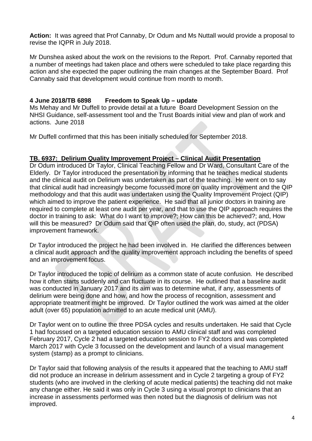**Action:** It was agreed that Prof Cannaby, Dr Odum and Ms Nuttall would provide a proposal to revise the IQPR in July 2018.

Mr Dunshea asked about the work on the revisions to the Report. Prof. Cannaby reported that a number of meetings had taken place and others were scheduled to take place regarding this action and she expected the paper outlining the main changes at the September Board. Prof Cannaby said that development would continue from month to month.

# **4 June 2018/TB 6898 Freedom to Speak Up – update**

Ms Mehay and Mr Duffell to provide detail at a future Board Development Session on the NHSI Guidance, self-assessment tool and the Trust Boards initial view and plan of work and actions. June 2018

Mr Duffell confirmed that this has been initially scheduled for September 2018.

#### **TB. 6937: Delirium Quality Improvement Project – Clinical Audit Presentation**

Dr Odum introduced Dr Taylor, Clinical Teaching Fellow and Dr Ward, Consultant Care of the Elderly. Dr Taylor introduced the presentation by informing that he teaches medical students and the clinical audit on Delirium was undertaken as part of the teaching. He went on to say that clinical audit had increasingly become focussed more on quality improvement and the QIP methodology and that this audit was undertaken using the Quality Improvement Project (QIP) which aimed to improve the patient experience. He said that all junior doctors in training are required to complete at least one audit per year, and that to use the QIP approach requires the doctor in training to ask: What do I want to improve?; How can this be achieved?; and, How will this be measured? Dr Odum said that QIP often used the plan, do, study, act (PDSA) improvement framework.

Dr Taylor introduced the project he had been involved in. He clarified the differences between a clinical audit approach and the quality improvement approach including the benefits of speed and an improvement focus.

Dr Taylor introduced the topic of delirium as a common state of acute confusion. He described how it often starts suddenly and can fluctuate in its course. He outlined that a baseline audit was conducted in January 2017 and its aim was to determine what, if any, assessments of delirium were being done and how, and how the process of recognition, assessment and appropriate treatment might be improved. Dr Taylor outlined the work was aimed at the older adult (over 65) population admitted to an acute medical unit (AMU).

Dr Taylor went on to outline the three PDSA cycles and results undertaken. He said that Cycle 1 had focussed on a targeted education session to AMU clinical staff and was completed February 2017, Cycle 2 had a targeted education session to FY2 doctors and was completed March 2017 with Cycle 3 focussed on the development and launch of a visual management system (stamp) as a prompt to clinicians.

Dr Taylor said that following analysis of the results it appeared that the teaching to AMU staff did not produce an increase in delirium assessment and in Cycle 2 targeting a group of FY2 students (who are involved in the clerking of acute medical patients) the teaching did not make any change either. He said it was only in Cycle 3 using a visual prompt to clinicians that an increase in assessments performed was then noted but the diagnosis of delirium was not improved.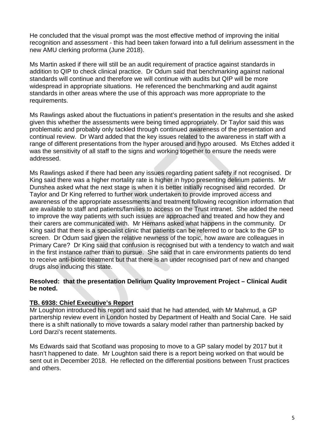He concluded that the visual prompt was the most effective method of improving the initial recognition and assessment - this had been taken forward into a full delirium assessment in the new AMU clerking proforma (June 2018).

Ms Martin asked if there will still be an audit requirement of practice against standards in addition to QIP to check clinical practice. Dr Odum said that benchmarking against national standards will continue and therefore we will continue with audits but QIP will be more widespread in appropriate situations. He referenced the benchmarking and audit against standards in other areas where the use of this approach was more appropriate to the requirements.

Ms Rawlings asked about the fluctuations in patient's presentation in the results and she asked given this whether the assessments were being timed appropriately. Dr Taylor said this was problematic and probably only tackled through continued awareness of the presentation and continual review. Dr Ward added that the key issues related to the awareness in staff with a range of different presentations from the hyper aroused and hypo aroused. Ms Etches added it was the sensitivity of all staff to the signs and working together to ensure the needs were addressed.

Ms Rawlings asked if there had been any issues regarding patient safety if not recognised. Dr King said there was a higher mortality rate is higher in hypo presenting delirium patients. Mr Dunshea asked what the next stage is when it is better initially recognised and recorded. Dr Taylor and Dr King referred to further work undertaken to provide improved access and awareness of the appropriate assessments and treatment following recognition information that are available to staff and patients/families to access on the Trust intranet. She added the need to improve the way patients with such issues are approached and treated and how they and their carers are communicated with. Mr Hemans asked what happens in the community. Dr King said that there is a specialist clinic that patients can be referred to or back to the GP to screen. Dr Odum said given the relative newness of the topic, how aware are colleagues in Primary Care? Dr King said that confusion is recognised but with a tendency to watch and wait in the first instance rather than to pursue. She said that in care environments patients do tend to receive anti-biotic treatment but that there is an under recognised part of new and changed drugs also inducing this state.

#### **Resolved: that the presentation Delirium Quality Improvement Project – Clinical Audit be noted.**

# **TB. 6938: Chief Executive's Report**

Mr Loughton introduced his report and said that he had attended, with Mr Mahmud, a GP partnership review event in London hosted by Department of Health and Social Care. He said there is a shift nationally to move towards a salary model rather than partnership backed by Lord Darzi's recent statements.

Ms Edwards said that Scotland was proposing to move to a GP salary model by 2017 but it hasn't happened to date. Mr Loughton said there is a report being worked on that would be sent out in December 2018. He reflected on the differential positions between Trust practices and others.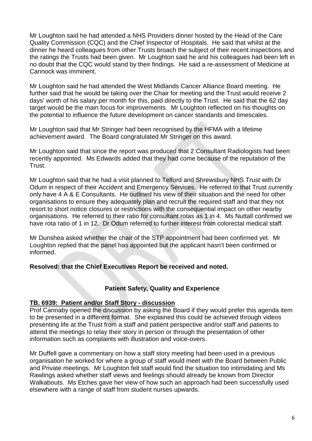Mr Loughton said he had attended a NHS Providers dinner hosted by the Head of the Care Quality Commission (CQC) and the Chief Inspector of Hospitals. He said that whilst at the dinner he heard colleagues from other Trusts broach the subject of their recent inspections and the ratings the Trusts had been given. Mr Loughton said he and his colleagues had been left in no doubt that the CQC would stand by their findings. He said a re-assessment of Medicine at Cannock was imminent.

Mr Loughton said he had attended the West Midlands Cancer Alliance Board meeting. He further said that he would be taking over the Chair for meeting and the Trust would receive 2 days' worth of his salary per month for this, paid directly to the Trust. He said that the 62 day target would be the main focus for improvements. Mr Loughton reflected on his thoughts on the potential to influence the future development on cancer standards and timescales.

Mr Loughton said that Mr Stringer had been recognised by the HFMA with a lifetime achievement award. The Board congratulated Mr Stringer on this award.

Mr Loughton said that since the report was produced that 2 Consultant Radiologists had been recently appointed. Ms Edwards added that they had come because of the reputation of the Trust.

Mr Loughton said that he had a visit planned to Telford and Shrewsbury NHS Trust with Dr Odum in respect of their Accident and Emergency Services. He referred to that Trust currently only have 4 A & E Consultants. He outlined his view of their situation and the need for other organisations to ensure they adequately plan and recruit the required staff and that they not resort to short notice closures or restrictions with the consequential impact on other nearby organisations. He referred to their ratio for consultant rotas as 1 in 4. Ms Nuttall confirmed we have rota ratio of 1 in 12. Dr Odum referred to further interest from colorectal medical staff.

Mr Dunshea asked whether the chair of the STP appointment had been confirmed yet. Mr Loughton replied that the panel has appointed but the applicant hasn't been confirmed or informed.

# **Resolved: that the Chief Executives Report be received and noted.**

# **Patient Safety, Quality and Experience**

#### **TB. 6939: Patient and/or Staff Story - discussion**

Prof Cannaby opened the discussion by asking the Board if they would prefer this agenda item to be presented in a different format. She explained this could be achieved through videos presenting life at the Trust from a staff and patient perspective and/or staff and patients to attend the meetings to relay their story in person or through the presentation of other information such as complaints with illustration and voice-overs.

Mr Duffell gave a commentary on how a staff story meeting had been used in a previous organisation he worked for where a group of staff would meet with the Board between Public and Private meetings. Mr Loughton felt staff would find the situation too intimidating and Ms Rawlings asked whether staff views and feelings should already be known from Director Walkabouts. Ms Etches gave her view of how such an approach had been successfully used elsewhere with a range of staff from student nurses upwards.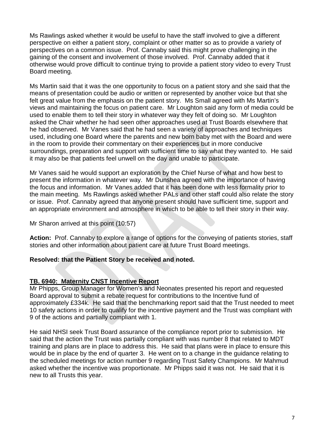Ms Rawlings asked whether it would be useful to have the staff involved to give a different perspective on either a patient story, complaint or other matter so as to provide a variety of perspectives on a common issue. Prof. Cannaby said this might prove challenging in the gaining of the consent and involvement of those involved. Prof. Cannaby added that it otherwise would prove difficult to continue trying to provide a patient story video to every Trust Board meeting.

Ms Martin said that it was the one opportunity to focus on a patient story and she said that the means of presentation could be audio or written or represented by another voice but that she felt great value from the emphasis on the patient story. Ms Small agreed with Ms Martin's views and maintaining the focus on patient care. Mr Loughton said any form of media could be used to enable them to tell their story in whatever way they felt of doing so. Mr Loughton asked the Chair whether he had seen other approaches used at Trust Boards elsewhere that he had observed. Mr Vanes said that he had seen a variety of approaches and techniques used, including one Board where the parents and new born baby met with the Board and were in the room to provide their commentary on their experiences but in more conducive surroundings, preparation and support with sufficient time to say what they wanted to. He said it may also be that patients feel unwell on the day and unable to participate.

Mr Vanes said he would support an exploration by the Chief Nurse of what and how best to present the information in whatever way. Mr Dunshea agreed with the importance of having the focus and information. Mr Vanes added that it has been done with less formality prior to the main meeting. Ms Rawlings asked whether PALs and other staff could also relate the story or issue. Prof. Cannaby agreed that anyone present should have sufficient time, support and an appropriate environment and atmosphere in which to be able to tell their story in their way.

Mr Sharon arrived at this point (10:57)

**Action:** Prof. Cannaby to explore a range of options for the conveying of patients stories, staff stories and other information about patient care at future Trust Board meetings.

# **Resolved: that the Patient Story be received and noted.**

#### **TB. 6940: Maternity CNST Incentive Report**

Mr Phipps, Group Manager for Women's and Neonates presented his report and requested Board approval to submit a rebate request for contributions to the Incentive fund of approximately £334k. He said that the benchmarking report said that the Trust needed to meet 10 safety actions in order to qualify for the incentive payment and the Trust was compliant with 9 of the actions and partially compliant with 1.

He said NHSI seek Trust Board assurance of the compliance report prior to submission. He said that the action the Trust was partially compliant with was number 8 that related to MDT training and plans are in place to address this. He said that plans were in place to ensure this would be in place by the end of quarter 3. He went on to a change in the guidance relating to the scheduled meetings for action number 9 regarding Trust Safety Champions. Mr Mahmud asked whether the incentive was proportionate. Mr Phipps said it was not. He said that it is new to all Trusts this year.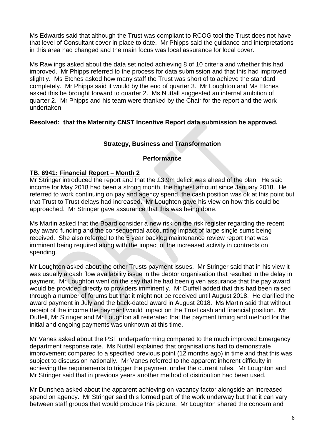Ms Edwards said that although the Trust was compliant to RCOG tool the Trust does not have that level of Consultant cover in place to date. Mr Phipps said the guidance and interpretations in this area had changed and the main focus was local assurance for local cover.

Ms Rawlings asked about the data set noted achieving 8 of 10 criteria and whether this had improved. Mr Phipps referred to the process for data submission and that this had improved slightly. Ms Etches asked how many staff the Trust was short of to achieve the standard completely. Mr Phipps said it would by the end of quarter 3. Mr Loughton and Ms Etches asked this be brought forward to quarter 2. Ms Nuttall suggested an internal ambition of quarter 2. Mr Phipps and his team were thanked by the Chair for the report and the work undertaken.

#### **Resolved: that the Maternity CNST Incentive Report data submission be approved.**

# **Strategy, Business and Transformation**

#### **Performance**

#### **TB. 6941: Financial Report – Month 2**

Mr Stringer introduced the report and that the £3.9m deficit was ahead of the plan. He said income for May 2018 had been a strong month, the highest amount since January 2018. He referred to work continuing on pay and agency spend, the cash position was ok at this point but that Trust to Trust delays had increased. Mr Loughton gave his view on how this could be approached. Mr Stringer gave assurance that this was being done.

Ms Martin asked that the Board consider a new risk on the risk register regarding the recent pay award funding and the consequential accounting impact of large single sums being received. She also referred to the 5 year backlog maintenance review report that was imminent being required along with the impact of the increased activity in contracts on spending.

Mr Loughton asked about the other Trusts payment issues. Mr Stringer said that in his view it was usually a cash flow availability issue in the debtor organisation that resulted in the delay in payment. Mr Loughton went on the say that he had been given assurance that the pay award would be provided directly to providers imminently. Mr Duffell added that this had been raised through a number of forums but that it might not be received until August 2018. He clarified the award payment in July and the back-dated award in August 2018. Ms Martin said that without receipt of the income the payment would impact on the Trust cash and financial position. Mr Duffell, Mr Stringer and Mr Loughton all reiterated that the payment timing and method for the initial and ongoing payments was unknown at this time.

Mr Vanes asked about the PSF underperforming compared to the much improved Emergency department response rate. Ms Nuttall explained that organisations had to demonstrate improvement compared to a specified previous point (12 months ago) in time and that this was subject to discussion nationally. Mr Vanes referred to the apparent inherent difficulty in achieving the requirements to trigger the payment under the current rules. Mr Loughton and Mr Stringer said that in previous years another method of distribution had been used.

Mr Dunshea asked about the apparent achieving on vacancy factor alongside an increased spend on agency. Mr Stringer said this formed part of the work underway but that it can vary between staff groups that would produce this picture. Mr Loughton shared the concern and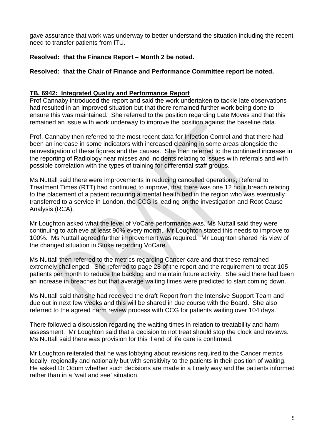gave assurance that work was underway to better understand the situation including the recent need to transfer patients from ITU.

# **Resolved: that the Finance Report – Month 2 be noted.**

# **Resolved: that the Chair of Finance and Performance Committee report be noted.**

# **TB. 6942: Integrated Quality and Performance Report**

Prof Cannaby introduced the report and said the work undertaken to tackle late observations had resulted in an improved situation but that there remained further work being done to ensure this was maintained. She referred to the position regarding Late Moves and that this remained an issue with work underway to improve the position against the baseline data.

Prof. Cannaby then referred to the most recent data for Infection Control and that there had been an increase in some indicators with increased cleaning in some areas alongside the reinvestigation of these figures and the causes. She then referred to the continued increase in the reporting of Radiology near misses and incidents relating to issues with referrals and with possible correlation with the types of training for differential staff groups.

Ms Nuttall said there were improvements in reducing cancelled operations, Referral to Treatment Times (RTT) had continued to improve, that there was one 12 hour breach relating to the placement of a patient requiring a mental health bed in the region who was eventually transferred to a service in London, the CCG is leading on the investigation and Root Cause Analysis (RCA).

Mr Loughton asked what the level of VoCare performance was. Ms Nuttall said they were continuing to achieve at least 90% every month. Mr Loughton stated this needs to improve to 100%. Ms Nuttall agreed further improvement was required. Mr Loughton shared his view of the changed situation in Stoke regarding VoCare.

Ms Nuttall then referred to the metrics regarding Cancer care and that these remained extremely challenged. She referred to page 28 of the report and the requirement to treat 105 patients per month to reduce the backlog and maintain future activity. She said there had been an increase in breaches but that average waiting times were predicted to start coming down.

Ms Nuttall said that she had received the draft Report from the Intensive Support Team and due out in next few weeks and this will be shared in due course with the Board. She also referred to the agreed harm review process with CCG for patients waiting over 104 days.

There followed a discussion regarding the waiting times in relation to treatability and harm assessment. Mr Loughton said that a decision to not treat should stop the clock and reviews. Ms Nuttall said there was provision for this if end of life care is confirmed.

Mr Loughton reiterated that he was lobbying about revisions required to the Cancer metrics locally, regionally and nationally but with sensitivity to the patients in their position of waiting. He asked Dr Odum whether such decisions are made in a timely way and the patients informed rather than in a 'wait and see' situation.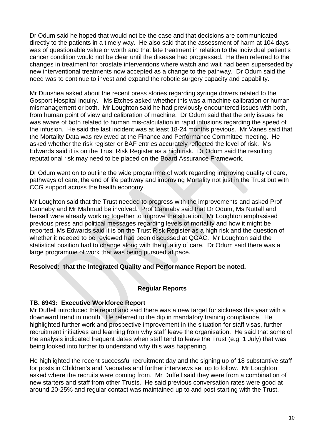Dr Odum said he hoped that would not be the case and that decisions are communicated directly to the patients in a timely way. He also said that the assessment of harm at 104 days was of questionable value or worth and that late treatment in relation to the individual patient's cancer condition would not be clear until the disease had progressed. He then referred to the changes in treatment for prostate interventions where watch and wait had been superseded by new interventional treatments now accepted as a change to the pathway. Dr Odum said the need was to continue to invest and expand the robotic surgery capacity and capability.

Mr Dunshea asked about the recent press stories regarding syringe drivers related to the Gosport Hospital inquiry. Ms Etches asked whether this was a machine calibration or human mismanagement or both. Mr Loughton said he had previously encountered issues with both, from human point of view and calibration of machine. Dr Odum said that the only issues he was aware of both related to human mis-calculation in rapid infusions regarding the speed of the infusion. He said the last incident was at least 18-24 months previous. Mr Vanes said that the Mortality Data was reviewed at the Finance and Performance Committee meeting. He asked whether the risk register or BAF entries accurately reflected the level of risk. Ms Edwards said it is on the Trust Risk Register as a high risk. Dr Odum said the resulting reputational risk may need to be placed on the Board Assurance Framework.

Dr Odum went on to outline the wide programme of work regarding improving quality of care, pathways of care, the end of life pathway and improving Mortality not just in the Trust but with CCG support across the health economy.

Mr Loughton said that the Trust needed to progress with the improvements and asked Prof Cannaby and Mr Mahmud be involved. Prof Cannaby said that Dr Odum, Ms Nuttall and herself were already working together to improve the situation. Mr Loughton emphasised previous press and political messages regarding levels of mortality and how it might be reported. Ms Edwards said it is on the Trust Risk Register as a high risk and the question of whether it needed to be reviewed had been discussed at QGAC. Mr Loughton said the statistical position had to change along with the quality of care. Dr Odum said there was a large programme of work that was being pursued at pace.

# **Resolved: that the Integrated Quality and Performance Report be noted.**

# **Regular Reports**

# **TB. 6943: Executive Workforce Report**

Mr Duffell introduced the report and said there was a new target for sickness this year with a downward trend in month. He referred to the dip in mandatory training compliance. He highlighted further work and prospective improvement in the situation for staff visas, further recruitment initiatives and learning from why staff leave the organisation. He said that some of the analysis indicated frequent dates when staff tend to leave the Trust (e.g. 1 July) that was being looked into further to understand why this was happening.

He highlighted the recent successful recruitment day and the signing up of 18 substantive staff for posts in Children's and Neonates and further interviews set up to follow. Mr Loughton asked where the recruits were coming from. Mr Duffell said they were from a combination of new starters and staff from other Trusts. He said previous conversation rates were good at around 20-25% and regular contact was maintained up to and post starting with the Trust.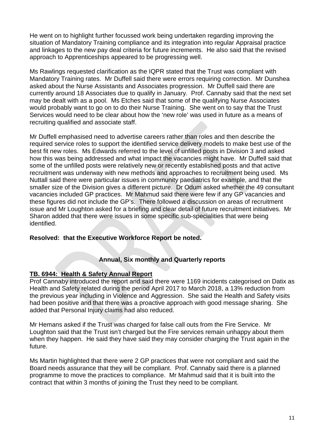He went on to highlight further focussed work being undertaken regarding improving the situation of Mandatory Training compliance and its integration into regular Appraisal practice and linkages to the new pay deal criteria for future increments. He also said that the revised approach to Apprenticeships appeared to be progressing well.

Ms Rawlings requested clarification as the IQPR stated that the Trust was compliant with Mandatory Training rates. Mr Duffell said there were errors requiring correction. Mr Dunshea asked about the Nurse Assistants and Associates progression. Mr Duffell said there are currently around 18 Associates due to qualify in January. Prof. Cannaby said that the next set may be dealt with as a pool. Ms Etches said that some of the qualifying Nurse Associates would probably want to go on to do their Nurse Training. She went on to say that the Trust Services would need to be clear about how the 'new role' was used in future as a means of recruiting qualified and associate staff.

Mr Duffell emphasised need to advertise careers rather than roles and then describe the required service roles to support the identified service delivery models to make best use of the best fit new roles. Ms Edwards referred to the level of unfilled posts in Division 3 and asked how this was being addressed and what impact the vacancies might have. Mr Duffell said that some of the unfilled posts were relatively new or recently established posts and that active recruitment was underway with new methods and approaches to recruitment being used. Ms Nuttall said there were particular issues in community paediatrics for example, and that the smaller size of the Division gives a different picture. Dr Odum asked whether the 49 consultant vacancies included GP practices. Mr Mahmud said there were few if any GP vacancies and these figures did not include the GP's. There followed a discussion on areas of recruitment issue and Mr Loughton asked for a briefing and clear detail of future recruitment initiatives. Mr Sharon added that there were issues in some specific sub-specialities that were being identified.

# **Resolved: that the Executive Workforce Report be noted.**

# **Annual, Six monthly and Quarterly reports**

#### **TB. 6944: Health & Safety Annual Report**

Prof Cannaby introduced the report and said there were 1169 incidents categorised on Datix as Health and Safety related during the period April 2017 to March 2018, a 13% reduction from the previous year including in Violence and Aggression. She said the Health and Safety visits had been positive and that there was a proactive approach with good message sharing. She added that Personal Injury claims had also reduced.

Mr Hemans asked if the Trust was charged for false call outs from the Fire Service. Mr Loughton said that the Trust isn't charged but the Fire services remain unhappy about them when they happen. He said they have said they may consider charging the Trust again in the future.

Ms Martin highlighted that there were 2 GP practices that were not compliant and said the Board needs assurance that they will be compliant. Prof. Cannaby said there is a planned programme to move the practices to compliance. Mr Mahmud said that it is built into the contract that within 3 months of joining the Trust they need to be compliant.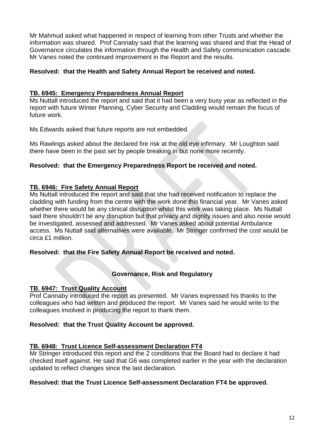Mr Mahmud asked what happened in respect of learning from other Trusts and whether the information was shared. Prof Cannaby said that the learning was shared and that the Head of Governance circulates the information through the Health and Safety communication cascade. Mr Vanes noted the continued improvement in the Report and the results.

### **Resolved: that the Health and Safety Annual Report be received and noted.**

### **TB. 6945: Emergency Preparedness Annual Report**

Ms Nuttall introduced the report and said that it had been a very busy year as reflected in the report with future Winter Planning, Cyber Security and Cladding would remain the focus of future work.

Ms Edwards asked that future reports are not embedded.

Ms Rawlings asked about the declared fire risk at the old eye infirmary. Mr Loughton said there have been in the past set by people breaking in but none more recently.

#### **Resolved: that the Emergency Preparedness Report be received and noted.**

#### **TB. 6946: Fire Safety Annual Report**

Ms Nuttall introduced the report and said that she had received notification to replace the cladding with funding from the centre with the work done this financial year. Mr Vanes asked whether there would be any clinical disruption whilst this work was taking place. Ms Nuttall said there shouldn't be any disruption but that privacy and dignity issues and also noise would be investigated, assessed and addressed. Mr Vanes asked about potential Ambulance access. Ms Nuttall said alternatives were available. Mr Stringer confirmed the cost would be circa £1 million.

#### **Resolved: that the Fire Safety Annual Report be received and noted.**

# **Governance, Risk and Regulatory**

#### **TB. 6947: Trust Quality Account**

Prof Cannaby introduced the report as presented. Mr Vanes expressed his thanks to the colleagues who had written and produced the report. Mr Vanes said he would write to the colleagues involved in producing the report to thank them.

#### **Resolved: that the Trust Quality Account be approved.**

#### **TB. 6948: Trust Licence Self-assessment Declaration FT4**

Mr Stringer introduced this report and the 2 conditions that the Board had to declare it had checked itself against. He said that G6 was completed earlier in the year with the declaration updated to reflect changes since the last declaration.

#### **Resolved: that the Trust Licence Self-assessment Declaration FT4 be approved.**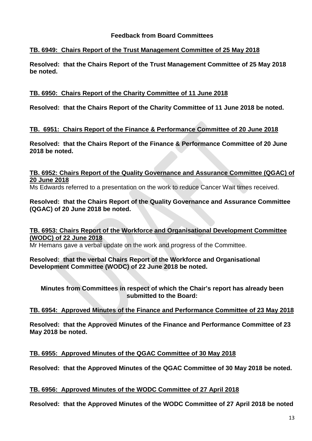# **Feedback from Board Committees**

#### **TB. 6949: Chairs Report of the Trust Management Committee of 25 May 2018**

**Resolved: that the Chairs Report of the Trust Management Committee of 25 May 2018 be noted.**

#### **TB. 6950: Chairs Report of the Charity Committee of 11 June 2018**

**Resolved: that the Chairs Report of the Charity Committee of 11 June 2018 be noted.**

#### **TB. 6951: Chairs Report of the Finance & Performance Committee of 20 June 2018**

**Resolved: that the Chairs Report of the Finance & Performance Committee of 20 June 2018 be noted.**

### **TB. 6952: Chairs Report of the Quality Governance and Assurance Committee (QGAC) of 20 June 2018**

Ms Edwards referred to a presentation on the work to reduce Cancer Wait times received.

### **Resolved: that the Chairs Report of the Quality Governance and Assurance Committee (QGAC) of 20 June 2018 be noted.**

#### **TB. 6953: Chairs Report of the Workforce and Organisational Development Committee (WODC) of 22 June 2018**

Mr Hemans gave a verbal update on the work and progress of the Committee.

#### **Resolved: that the verbal Chairs Report of the Workforce and Organisational Development Committee (WODC) of 22 June 2018 be noted.**

**Minutes from Committees in respect of which the Chair's report has already been submitted to the Board:**

# **TB. 6954: Approved Minutes of the Finance and Performance Committee of 23 May 2018**

**Resolved: that the Approved Minutes of the Finance and Performance Committee of 23 May 2018 be noted.** 

# **TB. 6955: Approved Minutes of the QGAC Committee of 30 May 2018**

**Resolved: that the Approved Minutes of the QGAC Committee of 30 May 2018 be noted.**

#### **TB. 6956: Approved Minutes of the WODC Committee of 27 April 2018**

**Resolved: that the Approved Minutes of the WODC Committee of 27 April 2018 be noted**